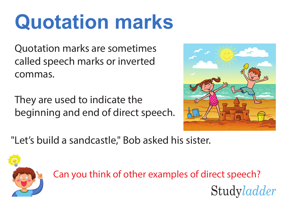Quotation marks are sometimes called speech marks or inverted commas.

They are used to indicate the beginning and end of direct speech.



Studyladder

"Let's build a sandcastle," Bob asked his sister.



Can you think of other examples of direct speech?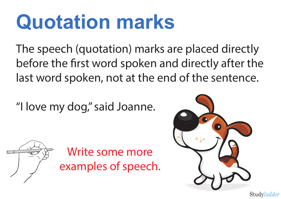The speech (quotation) marks are placed directly before the first word spoken and directly after the last word spoken, not at the end of the sentence.

"I love my dog," said Joanne.



Write some more examples of speech.

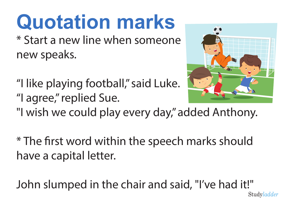\* Start a new line when someone new speaks.

"I like playing football," said Luke. "I agree," replied Sue.



"I wish we could play every day," added Anthony.

\* The first word within the speech marks should have a capital letter.

John slumped in the chair and said, "I've had it!"Studyladder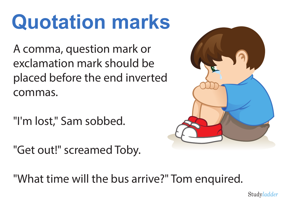A comma, question mark or exclamation mark should be placed before the end inverted commas.

"I'm lost," Sam sobbed.

"Get out!" screamed Toby.



"What time will the bus arrive?" Tom enquired.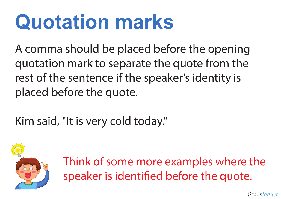A comma should be placed before the opening quotation mark to separate the quote from the rest of the sentence if the speaker's identity is placed before the quote.

Kim said, "It is very cold today."



Think of some more examples where the speaker is identified before the quote.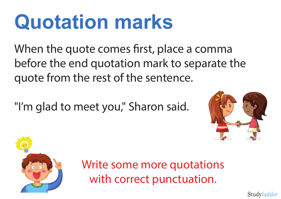When the quote comes first, place a comma before the end quotation mark to separate the quote from the rest of the sentence.

"I'm glad to meet you," Sharon said.





Write some more quotations with correct punctuation.